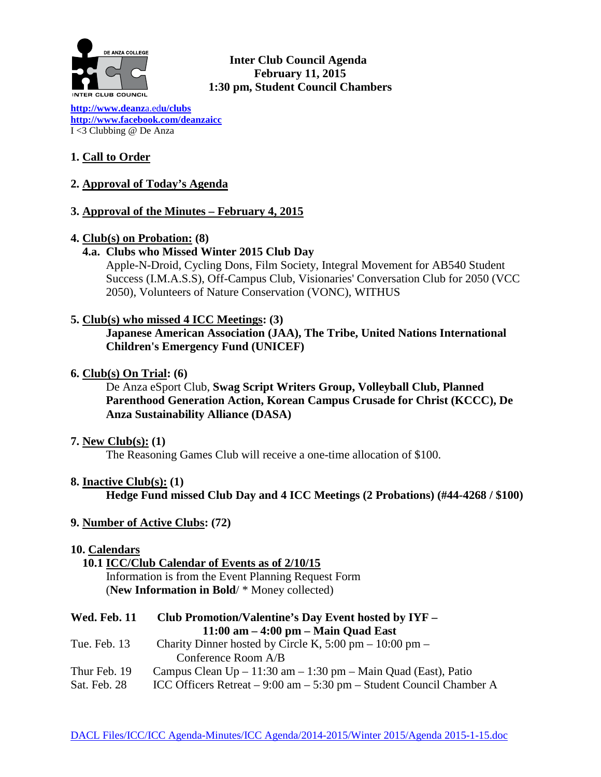

**Inter Club Council Agenda February 11, 2015 1:30 pm, Student Council Chambers** 

**[http://www.deanz](http://www.deanza.edu/clubs)**a.ed**u/clubs [http://www.facebook.com/deanzaicc](http://www.facebook.com/home.php%23!/group.php?gid=59034552686)** I <3 Clubbing @ De Anza

# **1. Call to Order**

**2. Approval of Today's Agenda**

## **3. Approval of the Minutes – February 4, 2015**

#### **4. Club(s) on Probation: (8)**

#### **4.a. Clubs who Missed Winter 2015 Club Day**

Apple-N-Droid, Cycling Dons, Film Society, Integral Movement for AB540 Student Success (I.M.A.S.S), Off-Campus Club, Visionaries' Conversation Club for 2050 (VCC 2050), Volunteers of Nature Conservation (VONC), WITHUS

**5. Club(s) who missed 4 ICC Meetings: (3)**

**Japanese American Association (JAA), The Tribe, United Nations International Children's Emergency Fund (UNICEF)**

**6. Club(s) On Trial: (6)**

De Anza eSport Club, **Swag Script Writers Group, Volleyball Club, Planned Parenthood Generation Action, Korean Campus Crusade for Christ (KCCC), De Anza Sustainability Alliance (DASA)**

#### **7. New Club(s): (1)**

The Reasoning Games Club will receive a one-time allocation of \$100.

**8. Inactive Club(s): (1)**

**Hedge Fund missed Club Day and 4 ICC Meetings (2 Probations) (#44-4268 / \$100)**

**9. Number of Active Clubs: (72)**

#### **10. Calendars**

#### **10.1 ICC/Club Calendar of Events as of 2/10/15** Information is from the Event Planning Request Form (**New Information in Bold**/ \* Money collected)

| <b>Wed. Feb. 11</b><br>Club Promotion/Valentine's Day Event hosted by IYF – |  |  |  |  |
|-----------------------------------------------------------------------------|--|--|--|--|
| $11:00$ am $-4:00$ pm $-$ Main Quad East                                    |  |  |  |  |
| Charity Dinner hosted by Circle K, $5:00 \text{ pm} - 10:00 \text{ pm} -$   |  |  |  |  |
| Conference Room A/B                                                         |  |  |  |  |
| Campus Clean $Up - 11:30$ am $- 1:30$ pm $-$ Main Quad (East), Patio        |  |  |  |  |
| ICC Officers Retreat $-9:00$ am $-5:30$ pm $-$ Student Council Chamber A    |  |  |  |  |
|                                                                             |  |  |  |  |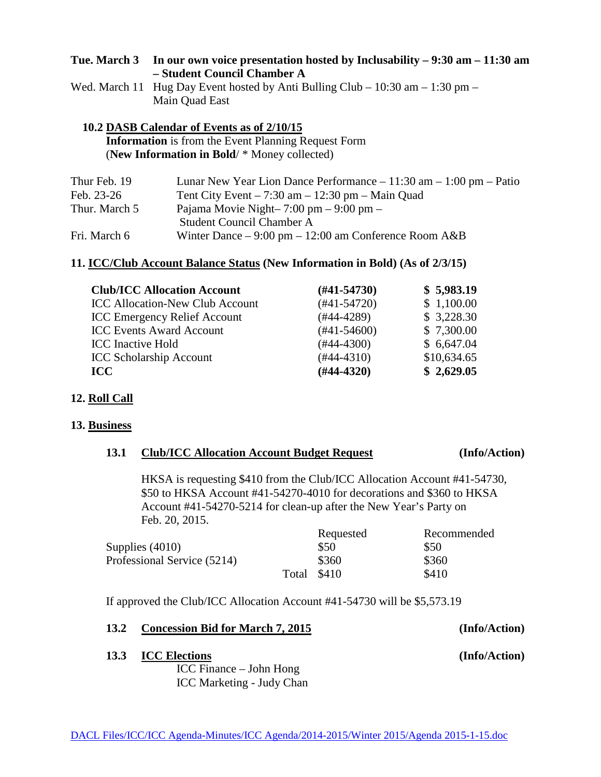| Tue. March 3 In our own voice presentation hosted by Inclusability $-9:30$ am $-11:30$ am |
|-------------------------------------------------------------------------------------------|
| - Student Council Chamber A                                                               |

| Wed. March 11 Hug Day Event hosted by Anti Bulling Club – $10:30$ am – $1:30$ pm – |
|------------------------------------------------------------------------------------|
| Main Quad East                                                                     |

## **10.2 DASB Calendar of Events as of 2/10/15 Information** is from the Event Planning Request Form (**New Information in Bold**/ \* Money collected)

| Thur Feb. 19  | Lunar New Year Lion Dance Performance $-11:30$ am $-1:00$ pm $-$ Patio |
|---------------|------------------------------------------------------------------------|
| Feb. 23-26    | Tent City Event $-7:30$ am $-12:30$ pm $-$ Main Quad                   |
| Thur. March 5 | Pajama Movie Night- $7:00 \text{ pm} - 9:00 \text{ pm} -$              |
|               | <b>Student Council Chamber A</b>                                       |
| Fri. March 6  | Winter Dance $-9:00 \text{ pm} - 12:00 \text{ am Conference Room A&B}$ |

# **11. ICC/Club Account Balance Status (New Information in Bold) (As of 2/3/15)**

| <b>Club/ICC Allocation Account</b>     | $(H41-54730)$ | \$5,983.19  |
|----------------------------------------|---------------|-------------|
| <b>ICC Allocation-New Club Account</b> | $(#41-54720)$ | \$1,100.00  |
| <b>ICC Emergency Relief Account</b>    | (#44-4289)    | \$3,228.30  |
| <b>ICC Events Award Account</b>        | $(#41-54600)$ | \$7,300.00  |
| <b>ICC</b> Inactive Hold               | $(#44-4300)$  | \$6,647.04  |
| <b>ICC Scholarship Account</b>         | $(#44-4310)$  | \$10,634.65 |
| <b>ICC</b>                             | $(H44-4320)$  | \$2,629.05  |

#### **12. Roll Call**

#### **13. Business**

# **13.1 Club/ICC Allocation Account Budget Request (Info/Action)**

HKSA is requesting \$410 from the Club/ICC Allocation Account #41-54730, \$50 to HKSA Account #41-54270-4010 for decorations and \$360 to HKSA Account #41-54270-5214 for clean-up after the New Year's Party on Feb. 20, 2015.

|                             |       | Requested | Recommended |
|-----------------------------|-------|-----------|-------------|
| Supplies $(4010)$           |       | \$50      | \$50        |
| Professional Service (5214) |       | \$360     | \$360       |
|                             | Total | \$410     | \$410       |

If approved the Club/ICC Allocation Account #41-54730 will be \$5,573.19

#### **13.2 Concession Bid for March 7, 2015 (Info/Action)**

#### **13.3 ICC Elections (Info/Action)**

ICC Finance – John Hong ICC Marketing - Judy Chan